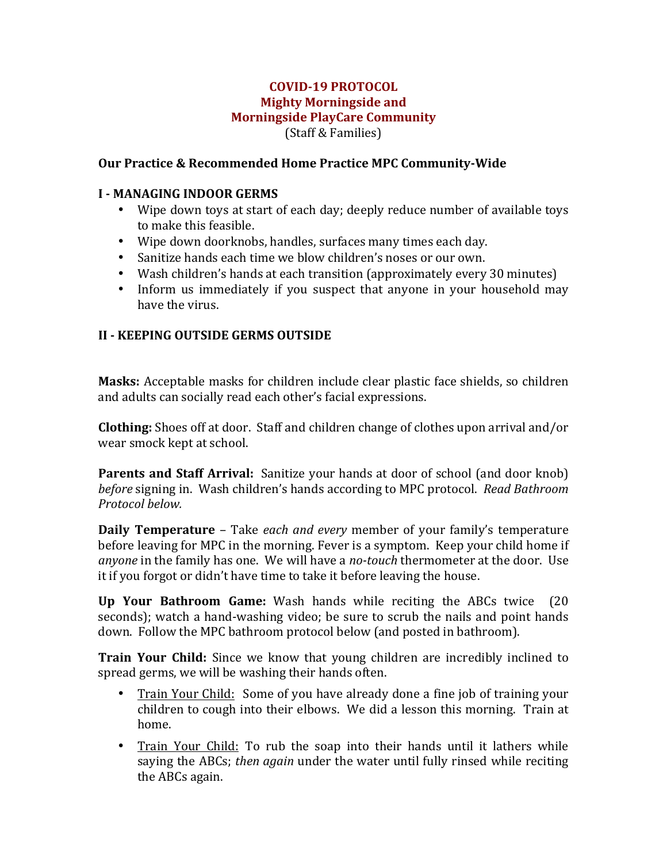### **COVID-19 PROTOCOL Mighty Morningside and Morningside PlayCare Community** (Staff & Families)

### **Our Practice & Recommended Home Practice MPC Community-Wide**

#### **I** - **MANAGING** INDOOR GERMS

- Wipe down toys at start of each day; deeply reduce number of available toys to make this feasible.
- Wipe down doorknobs, handles, surfaces many times each day.
- Sanitize hands each time we blow children's noses or our own.
- Wash children's hands at each transition (approximately every 30 minutes)
- Inform us immediately if you suspect that anyone in your household may have the virus.

### **II - KEEPING OUTSIDE GERMS OUTSIDE**

**Masks:** Acceptable masks for children include clear plastic face shields, so children and adults can socially read each other's facial expressions.

**Clothing:** Shoes off at door. Staff and children change of clothes upon arrival and/or wear smock kept at school.

**Parents and Staff Arrival:** Sanitize your hands at door of school (and door knob) *before* signing in. Wash children's hands according to MPC protocol. Read Bathroom *Protocol below.*

**Daily Temperature** – Take *each and every* member of your family's temperature before leaving for MPC in the morning. Fever is a symptom. Keep your child home if *anyone* in the family has one. We will have a *no-touch* thermometer at the door. Use it if you forgot or didn't have time to take it before leaving the house.

**Up Your Bathroom Game:** Wash hands while reciting the ABCs twice (20) seconds); watch a hand-washing video; be sure to scrub the nails and point hands down. Follow the MPC bathroom protocol below (and posted in bathroom).

**Train Your Child:** Since we know that young children are incredibly inclined to spread germs, we will be washing their hands often.

- Train Your Child: Some of you have already done a fine job of training your children to cough into their elbows. We did a lesson this morning. Train at home.
- Train Your Child: To rub the soap into their hands until it lathers while saying the ABCs; *then again* under the water until fully rinsed while reciting the ABCs again.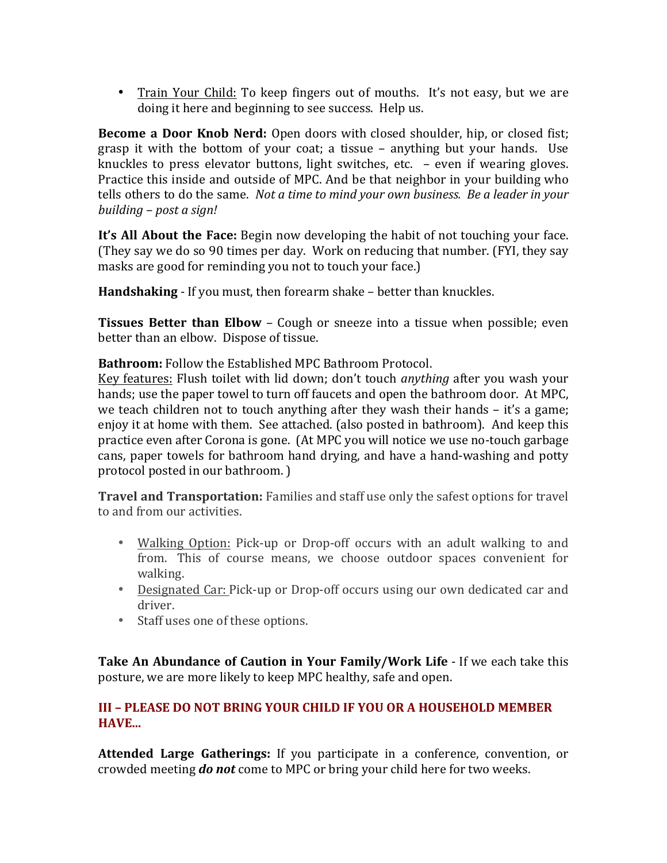• Train Your Child: To keep fingers out of mouths. It's not easy, but we are doing it here and beginning to see success. Help us.

**Become a Door Knob Nerd:** Open doors with closed shoulder, hip, or closed fist; grasp it with the bottom of your coat; a tissue – anything but your hands. Use knuckles to press elevator buttons, light switches, etc.  $-$  even if wearing gloves. Practice this inside and outside of MPC. And be that neighbor in your building who tells others to do the same. *Not a time to mind your own business. Be a leader in your building* – *post a sign!* 

**It's All About the Face:** Begin now developing the habit of not touching your face. (They say we do so 90 times per day. Work on reducing that number. (FYI, they say masks are good for reminding you not to touch your face.)

**Handshaking** - If you must, then forearm shake – better than knuckles.

**Tissues Better than Elbow** – Cough or sneeze into a tissue when possible; even better than an elbow. Dispose of tissue.

**Bathroom:** Follow the Established MPC Bathroom Protocol.

Key features: Flush toilet with lid down; don't touch *anything* after you wash your hands; use the paper towel to turn off faucets and open the bathroom door. At MPC, we teach children not to touch anything after they wash their hands  $-$  it's a game; enjoy it at home with them. See attached. (also posted in bathroom). And keep this practice even after Corona is gone. (At MPC you will notice we use no-touch garbage cans, paper towels for bathroom hand drying, and have a hand-washing and potty protocol posted in our bathroom. )

**Travel and Transportation:** Families and staff use only the safest options for travel to and from our activities.

- Walking Option: Pick-up or Drop-off occurs with an adult walking to and from. This of course means, we choose outdoor spaces convenient for walking.
- Designated Car: Pick-up or Drop-off occurs using our own dedicated car and driver.
- Staff uses one of these options.

**Take An Abundance of Caution in Your Family/Work Life** - If we each take this posture, we are more likely to keep MPC healthy, safe and open.

## **III - PLEASE DO NOT BRING YOUR CHILD IF YOU OR A HOUSEHOLD MEMBER HAVE...**

**Attended Large Gatherings:** If you participate in a conference, convention, or crowded meeting **do not** come to MPC or bring your child here for two weeks.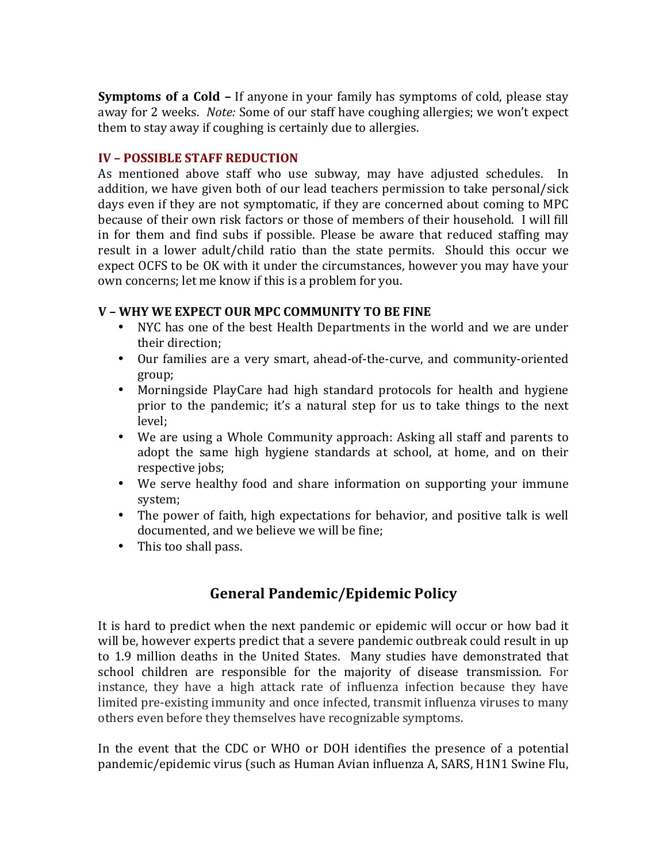**Symptoms of a Cold –** If anyone in your family has symptoms of cold, please stay away for 2 weeks. *Note:* Some of our staff have coughing allergies; we won't expect them to stay away if coughing is certainly due to allergies.

### **IV – POSSIBLE STAFF REDUCTION**

As mentioned above staff who use subway, may have adjusted schedules. In addition, we have given both of our lead teachers permission to take personal/sick days even if they are not symptomatic, if they are concerned about coming to MPC because of their own risk factors or those of members of their household. I will fill in for them and find subs if possible. Please be aware that reduced staffing may result in a lower adult/child ratio than the state permits. Should this occur we expect OCFS to be OK with it under the circumstances, however you may have your own concerns; let me know if this is a problem for you.

### **V** – WHY WE EXPECT OUR MPC COMMUNITY TO BE FINE

- NYC has one of the best Health Departments in the world and we are under their direction:
- Our families are a very smart, ahead-of-the-curve, and community-oriented group;
- Morningside PlayCare had high standard protocols for health and hygiene prior to the pandemic; it's a natural step for us to take things to the next level;
- We are using a Whole Community approach: Asking all staff and parents to adopt the same high hygiene standards at school, at home, and on their respective jobs;
- We serve healthy food and share information on supporting your immune system;
- The power of faith, high expectations for behavior, and positive talk is well documented, and we believe we will be fine:
- This too shall pass.

# **General Pandemic/Epidemic Policy**

It is hard to predict when the next pandemic or epidemic will occur or how bad it will be, however experts predict that a severe pandemic outbreak could result in up to 1.9 million deaths in the United States. Many studies have demonstrated that school children are responsible for the majority of disease transmission. For instance, they have a high attack rate of influenza infection because they have limited pre-existing immunity and once infected, transmit influenza viruses to many others even before they themselves have recognizable symptoms. 

In the event that the CDC or WHO or DOH identifies the presence of a potential pandemic/epidemic virus (such as Human Avian influenza A, SARS, H1N1 Swine Flu,